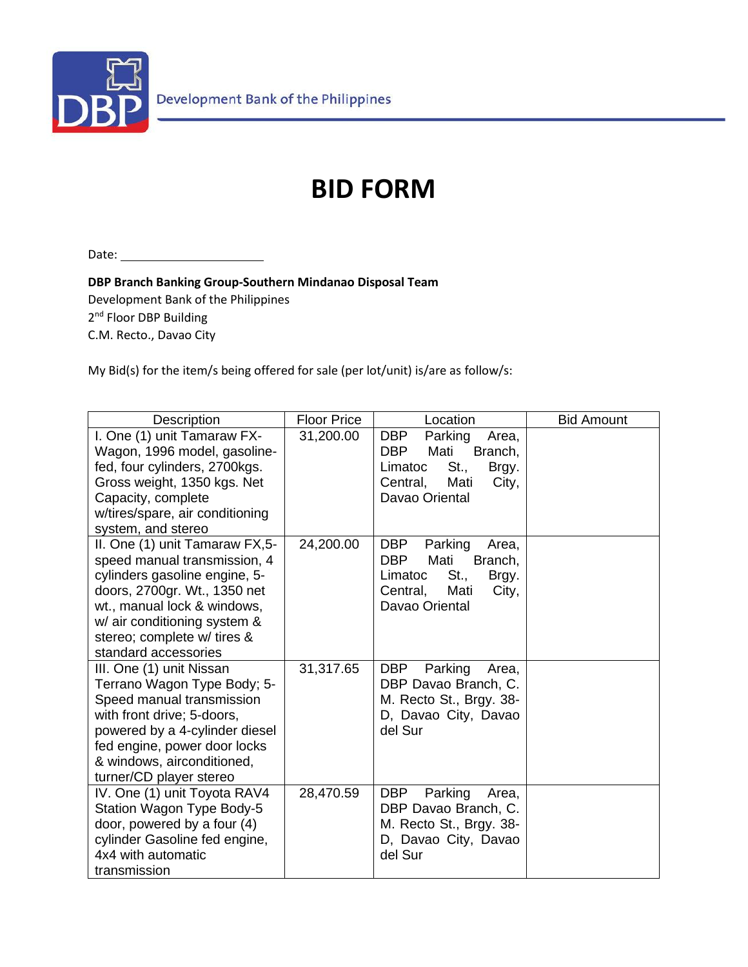

## **BID FORM**

Date:

**DBP Branch Banking Group-Southern Mindanao Disposal Team**

Development Bank of the Philippines 2<sup>nd</sup> Floor DBP Building

C.M. Recto., Davao City

My Bid(s) for the item/s being offered for sale (per lot/unit) is/are as follow/s:

| Description                                                                                                                                                                                                                                           | <b>Floor Price</b> | Location                                                                                                                                   | <b>Bid Amount</b> |
|-------------------------------------------------------------------------------------------------------------------------------------------------------------------------------------------------------------------------------------------------------|--------------------|--------------------------------------------------------------------------------------------------------------------------------------------|-------------------|
| I. One (1) unit Tamaraw FX-<br>Wagon, 1996 model, gasoline-<br>fed, four cylinders, 2700kgs.<br>Gross weight, 1350 kgs. Net<br>Capacity, complete<br>w/tires/spare, air conditioning<br>system, and stereo                                            | 31,200.00          | <b>DBP</b><br>Parking<br>Area,<br><b>DBP</b><br>Mati<br>Branch,<br>St.<br>Limatoc<br>Brgy.<br>Mati<br>Central,<br>City,<br>Davao Oriental  |                   |
| II. One (1) unit Tamaraw FX,5-<br>speed manual transmission, 4<br>cylinders gasoline engine, 5-<br>doors, 2700gr. Wt., 1350 net<br>wt., manual lock & windows,<br>w/ air conditioning system &<br>stereo; complete w/ tires &<br>standard accessories | 24,200.00          | <b>DBP</b><br>Parking<br>Area,<br><b>DBP</b><br>Mati<br>Branch,<br>St.,<br>Limatoc<br>Brgy.<br>Mati<br>Central,<br>City,<br>Davao Oriental |                   |
| III. One (1) unit Nissan<br>Terrano Wagon Type Body; 5-<br>Speed manual transmission<br>with front drive; 5-doors,<br>powered by a 4-cylinder diesel<br>fed engine, power door locks<br>& windows, airconditioned,<br>turner/CD player stereo         | 31,317.65          | Parking<br><b>DBP</b><br>Area,<br>DBP Davao Branch, C.<br>M. Recto St., Brgy. 38-<br>D, Davao City, Davao<br>del Sur                       |                   |
| IV. One (1) unit Toyota RAV4<br>Station Wagon Type Body-5<br>door, powered by a four (4)<br>cylinder Gasoline fed engine,<br>4x4 with automatic<br>transmission                                                                                       | 28,470.59          | <b>DBP</b><br>Parking<br>Area,<br>DBP Davao Branch, C.<br>M. Recto St., Brgy. 38-<br>D, Davao City, Davao<br>del Sur                       |                   |